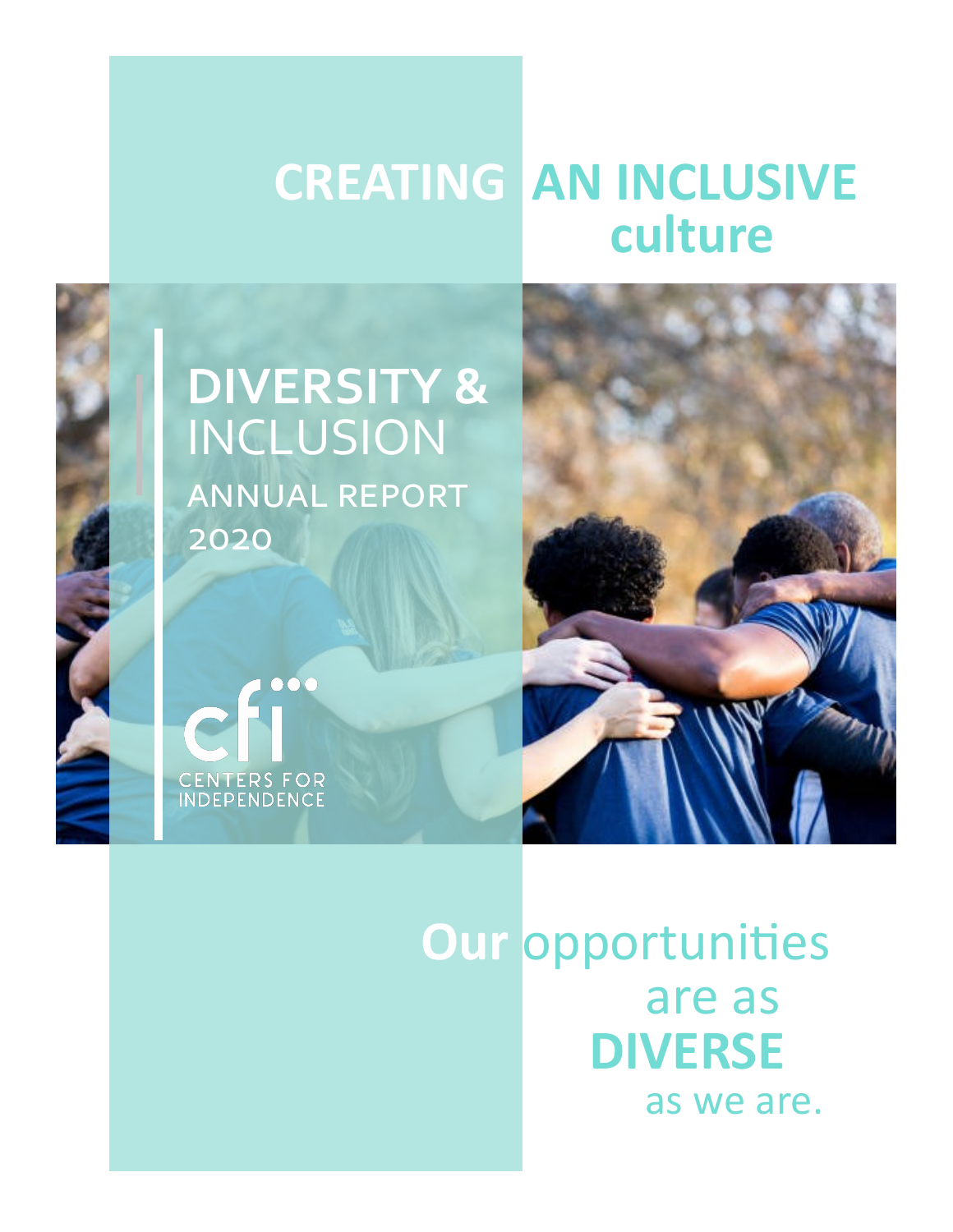# **CREATING AN INCLUSIVE culture:**



CENTERS FOR<br>INDEPENDENCE



**Our** opportunities are as **DIVERSE** as we are.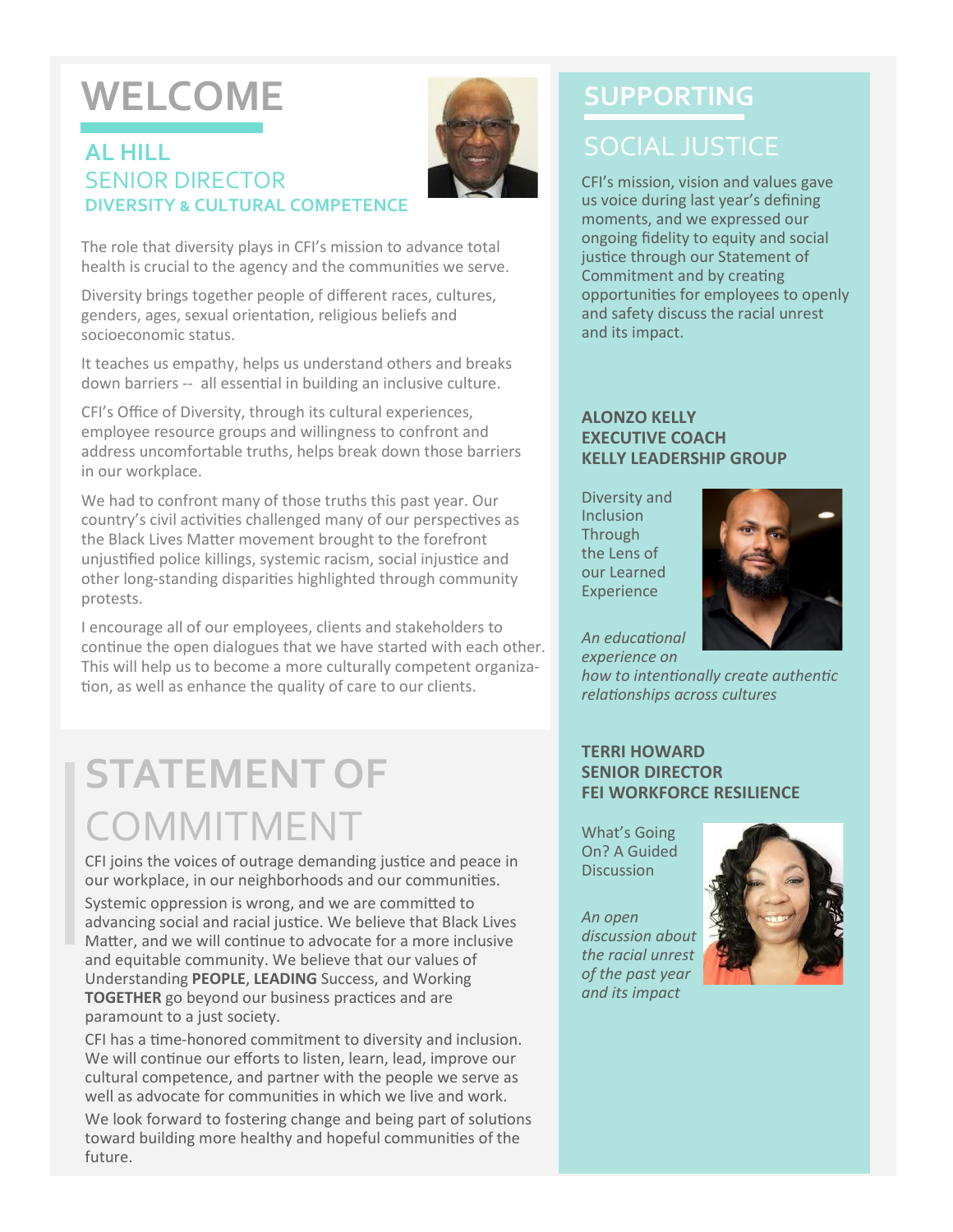## **WELCOME**

### **AL HILL** SENIOR DIRECTOR **DIVERSITY & CULTURAL COMPETENCE**



The role that diversity plays in CFI's mission to advance total health is crucial to the agency and the communities we serve.

Diversity brings together people of different races, cultures, genders, ages, sexual orientation, religious beliefs and socioeconomic status.

It teaches us empathy, helps us understand others and breaks down barriers -- all essential in building an inclusive culture.

CFI's Office of Diversity, through its cultural experiences, employee resource groups and willingness to confront and address uncomfortable truths, helps break down those barriers in our workplace.

We had to confront many of those truths this past year. Our country's civil activities challenged many of our perspectives as the Black Lives Matter movement brought to the forefront unjustified police killings, systemic racism, social injustice and other long-standing disparities highlighted through community protests.

I encourage all of our employees, clients and stakeholders to continue the open dialogues that we have started with each other. This will help us to become a more culturally competent organization, as well as enhance the quality of care to our clients.

## **STATEMENT OF** COMMITMENT

CFI joins the voices of outrage demanding justice and peace in our workplace, in our neighborhoods and our communities.

Systemic oppression is wrong, and we are committed to advancing social and racial justice. We believe that Black Lives Matter, and we will continue to advocate for a more inclusive and equitable community. We believe that our values of Understanding **PEOPLE**, **LEADING** Success, and Working **TOGETHER** go beyond our business practices and are paramount to a just society.

CFI has a time-honored commitment to diversity and inclusion. We will continue our efforts to listen, learn, lead, improve our cultural competence, and partner with the people we serve as well as advocate for communities in which we live and work.

We look forward to fostering change and being part of solutions toward building more healthy and hopeful communities of the future.

### **SUPPORTING** SOCIAL JUSTICE

CFI's mission, vision and values gave us voice during last year's defining moments, and we expressed our ongoing fidelity to equity and social justice through our Statement of Commitment and by creating opportunities for employees to openly and safety discuss the racial unrest and its impact.

#### **ALONZO KELLY EXECUTIVE COACH KELLY LEADERSHIP GROUP**

Diversity and **Inclusion Through** the Lens of our Learned **Experience** 



*An educational experience on* 

*how to intentionally create authentic relationships across cultures* 

#### **TERRI HOWARD SENIOR DIRECTOR FEI WORKFORCE RESILIENCE**

What's Going On? A Guided **Discussion** 

*An open discussion about the racial unrest of the past year and its impact*

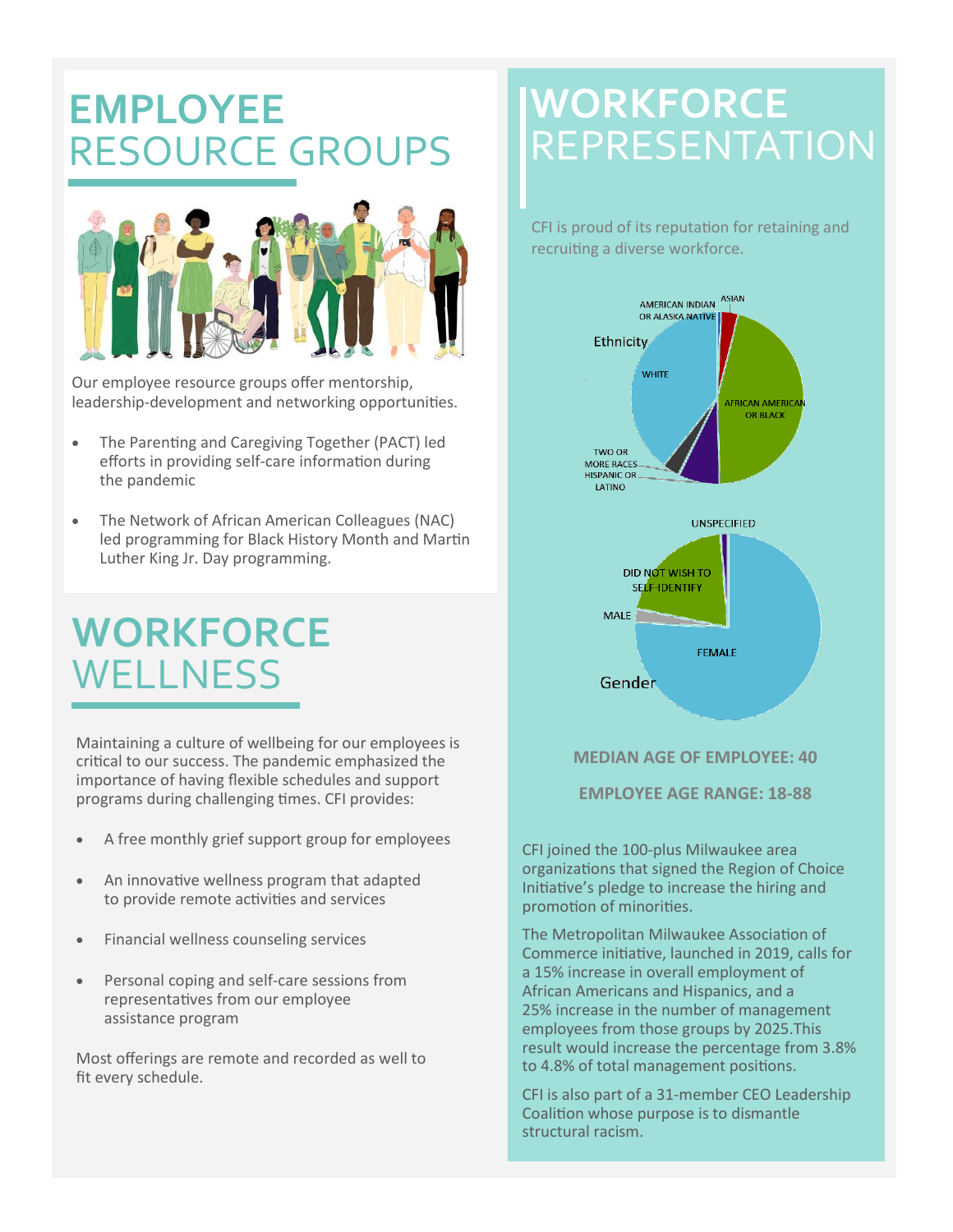## **EMPLOYEE**  RESOURCE GROUPS



Our employee resource groups offer mentorship, leadership-development and networking opportunities.

- The Parenting and Caregiving Together (PACT) led efforts in providing self-care information during the pandemic
- The Network of African American Colleagues (NAC) led programming for Black History Month and Martin Luther King Jr. Day programming.

## **WORKFORCE** WELLNESS

Maintaining a culture of wellbeing for our employees is critical to our success. The pandemic emphasized the importance of having flexible schedules and support programs during challenging times. CFI provides:

- A free monthly grief support group for employees
- An innovative wellness program that adapted to provide remote activities and services
- Financial wellness counseling services
- Personal coping and self-care sessions from representatives from our employee assistance program

Most offerings are remote and recorded as well to fit every schedule.

## **WORKFORCE** REPRESENTATION

CFI is proud of its reputation for retaining and recruiting a diverse workforce.



#### **MEDIAN AGE OF EMPLOYEE: 40**

**EMPLOYEE AGE RANGE: 18-88**

CFI joined the 100-plus Milwaukee area organizations that signed the Region of Choice Initiative's pledge to increase the hiring and promotion of minorities.

The Metropolitan Milwaukee Association of Commerce initiative, launched in 2019, calls for a 15% increase in overall employment of African Americans and Hispanics, and a 25% increase in the number of management employees from those groups by 2025.This result would increase the percentage from 3.8% to 4.8% of total management positions.

CFI is also part of a 31-member CEO Leadership Coalition whose purpose is to dismantle structural racism.